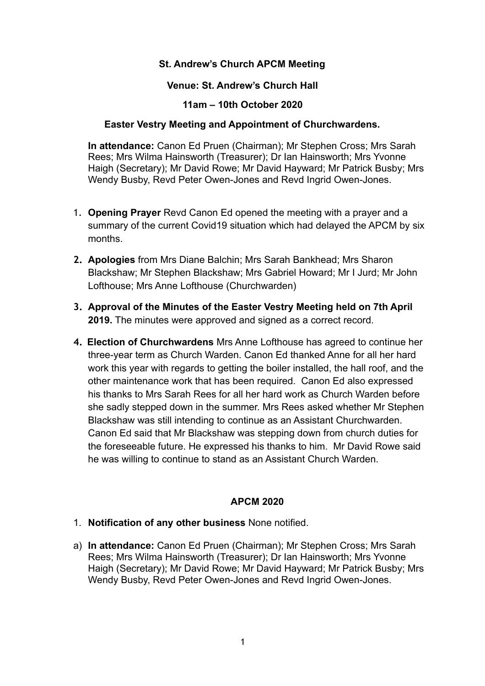# **St. Andrew's Church APCM Meeting**

### **Venue: St. Andrew's Church Hall**

#### **11am – 10th October 2020**

## **Easter Vestry Meeting and Appointment of Churchwardens.**

**In attendance:** Canon Ed Pruen (Chairman); Mr Stephen Cross; Mrs Sarah Rees; Mrs Wilma Hainsworth (Treasurer); Dr Ian Hainsworth; Mrs Yvonne Haigh (Secretary); Mr David Rowe; Mr David Hayward; Mr Patrick Busby; Mrs Wendy Busby, Revd Peter Owen-Jones and Revd Ingrid Owen-Jones.

- 1. **Opening Prayer** Revd Canon Ed opened the meeting with a prayer and a summary of the current Covid19 situation which had delayed the APCM by six months.
- **2. Apologies** from Mrs Diane Balchin; Mrs Sarah Bankhead; Mrs Sharon Blackshaw; Mr Stephen Blackshaw; Mrs Gabriel Howard; Mr I Jurd; Mr John Lofthouse; Mrs Anne Lofthouse (Churchwarden)
- **3. Approval of the Minutes of the Easter Vestry Meeting held on 7th April 2019.** The minutes were approved and signed as a correct record.
- **4. Election of Churchwardens** Mrs Anne Lofthouse has agreed to continue her three-year term as Church Warden. Canon Ed thanked Anne for all her hard work this year with regards to getting the boiler installed, the hall roof, and the other maintenance work that has been required. Canon Ed also expressed his thanks to Mrs Sarah Rees for all her hard work as Church Warden before she sadly stepped down in the summer. Mrs Rees asked whether Mr Stephen Blackshaw was still intending to continue as an Assistant Churchwarden. Canon Ed said that Mr Blackshaw was stepping down from church duties for the foreseeable future. He expressed his thanks to him. Mr David Rowe said he was willing to continue to stand as an Assistant Church Warden.

## **APCM 2020**

- 1. **Notification of any other business** None notified.
- a) **In attendance:** Canon Ed Pruen (Chairman); Mr Stephen Cross; Mrs Sarah Rees; Mrs Wilma Hainsworth (Treasurer); Dr Ian Hainsworth; Mrs Yvonne Haigh (Secretary); Mr David Rowe; Mr David Hayward; Mr Patrick Busby; Mrs Wendy Busby, Revd Peter Owen-Jones and Revd Ingrid Owen-Jones.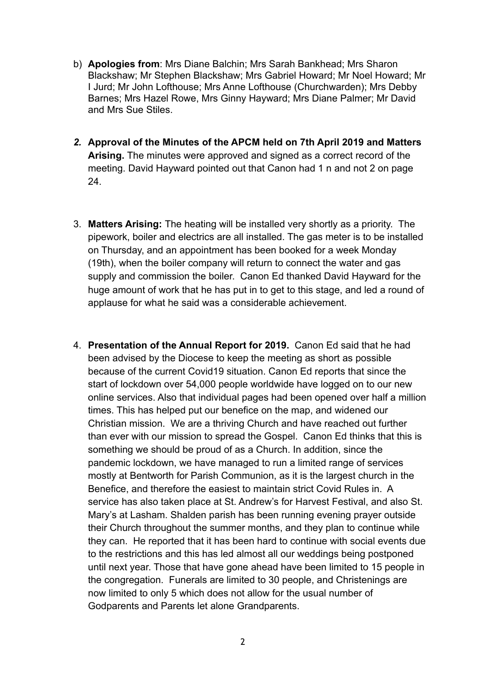- b) **Apologies from**: Mrs Diane Balchin; Mrs Sarah Bankhead; Mrs Sharon Blackshaw; Mr Stephen Blackshaw; Mrs Gabriel Howard; Mr Noel Howard; Mr I Jurd; Mr John Lofthouse; Mrs Anne Lofthouse (Churchwarden); Mrs Debby Barnes; Mrs Hazel Rowe, Mrs Ginny Hayward; Mrs Diane Palmer; Mr David and Mrs Sue Stiles.
- *2.* **Approval of the Minutes of the APCM held on 7th April 2019 and Matters Arising.** The minutes were approved and signed as a correct record of the meeting. David Hayward pointed out that Canon had 1 n and not 2 on page 24.
- 3. **Matters Arising:** The heating will be installed very shortly as a priority. The pipework, boiler and electrics are all installed. The gas meter is to be installed on Thursday, and an appointment has been booked for a week Monday (19th), when the boiler company will return to connect the water and gas supply and commission the boiler. Canon Ed thanked David Hayward for the huge amount of work that he has put in to get to this stage, and led a round of applause for what he said was a considerable achievement.
- 4. **Presentation of the Annual Report for 2019.** Canon Ed said that he had been advised by the Diocese to keep the meeting as short as possible because of the current Covid19 situation. Canon Ed reports that since the start of lockdown over 54,000 people worldwide have logged on to our new online services. Also that individual pages had been opened over half a million times. This has helped put our benefice on the map, and widened our Christian mission. We are a thriving Church and have reached out further than ever with our mission to spread the Gospel. Canon Ed thinks that this is something we should be proud of as a Church. In addition, since the pandemic lockdown, we have managed to run a limited range of services mostly at Bentworth for Parish Communion, as it is the largest church in the Benefice, and therefore the easiest to maintain strict Covid Rules in. A service has also taken place at St. Andrew's for Harvest Festival, and also St. Mary's at Lasham. Shalden parish has been running evening prayer outside their Church throughout the summer months, and they plan to continue while they can. He reported that it has been hard to continue with social events due to the restrictions and this has led almost all our weddings being postponed until next year. Those that have gone ahead have been limited to 15 people in the congregation. Funerals are limited to 30 people, and Christenings are now limited to only 5 which does not allow for the usual number of Godparents and Parents let alone Grandparents.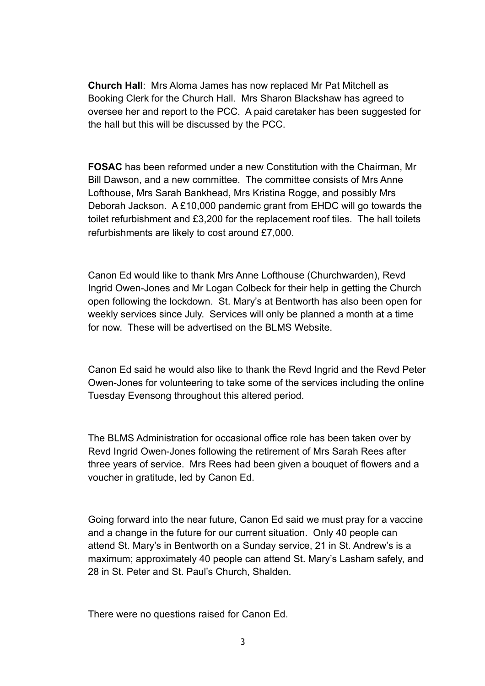**Church Hall**: Mrs Aloma James has now replaced Mr Pat Mitchell as Booking Clerk for the Church Hall. Mrs Sharon Blackshaw has agreed to oversee her and report to the PCC. A paid caretaker has been suggested for the hall but this will be discussed by the PCC.

**FOSAC** has been reformed under a new Constitution with the Chairman, Mr Bill Dawson, and a new committee. The committee consists of Mrs Anne Lofthouse, Mrs Sarah Bankhead, Mrs Kristina Rogge, and possibly Mrs Deborah Jackson. A £10,000 pandemic grant from EHDC will go towards the toilet refurbishment and £3,200 for the replacement roof tiles. The hall toilets refurbishments are likely to cost around £7,000.

Canon Ed would like to thank Mrs Anne Lofthouse (Churchwarden), Revd Ingrid Owen-Jones and Mr Logan Colbeck for their help in getting the Church open following the lockdown. St. Mary's at Bentworth has also been open for weekly services since July. Services will only be planned a month at a time for now. These will be advertised on the BLMS Website.

Canon Ed said he would also like to thank the Revd Ingrid and the Revd Peter Owen-Jones for volunteering to take some of the services including the online Tuesday Evensong throughout this altered period.

The BLMS Administration for occasional office role has been taken over by Revd Ingrid Owen-Jones following the retirement of Mrs Sarah Rees after three years of service. Mrs Rees had been given a bouquet of flowers and a voucher in gratitude, led by Canon Ed.

Going forward into the near future, Canon Ed said we must pray for a vaccine and a change in the future for our current situation. Only 40 people can attend St. Mary's in Bentworth on a Sunday service, 21 in St. Andrew's is a maximum; approximately 40 people can attend St. Mary's Lasham safely, and 28 in St. Peter and St. Paul's Church, Shalden.

There were no questions raised for Canon Ed.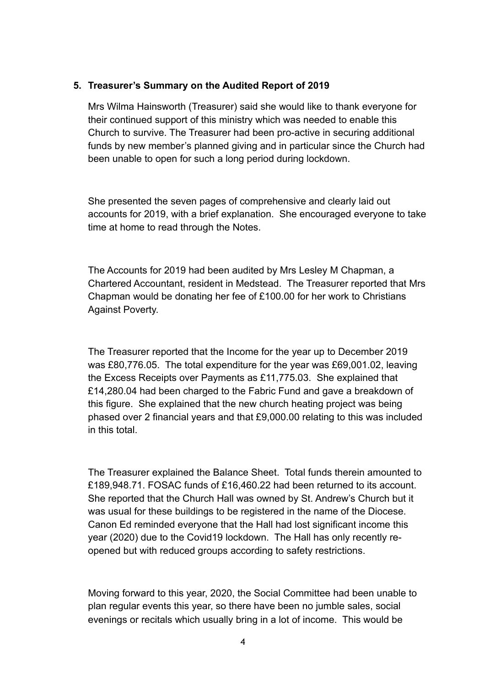## **5. Treasurer's Summary on the Audited Report of 2019**

Mrs Wilma Hainsworth (Treasurer) said she would like to thank everyone for their continued support of this ministry which was needed to enable this Church to survive. The Treasurer had been pro-active in securing additional funds by new member's planned giving and in particular since the Church had been unable to open for such a long period during lockdown.

She presented the seven pages of comprehensive and clearly laid out accounts for 2019, with a brief explanation. She encouraged everyone to take time at home to read through the Notes.

The Accounts for 2019 had been audited by Mrs Lesley M Chapman, a Chartered Accountant, resident in Medstead. The Treasurer reported that Mrs Chapman would be donating her fee of £100.00 for her work to Christians Against Poverty.

The Treasurer reported that the Income for the year up to December 2019 was £80,776.05. The total expenditure for the year was £69,001.02, leaving the Excess Receipts over Payments as £11,775.03. She explained that £14,280.04 had been charged to the Fabric Fund and gave a breakdown of this figure. She explained that the new church heating project was being phased over 2 financial years and that £9,000.00 relating to this was included in this total.

The Treasurer explained the Balance Sheet. Total funds therein amounted to £189,948.71. FOSAC funds of £16,460.22 had been returned to its account. She reported that the Church Hall was owned by St. Andrew's Church but it was usual for these buildings to be registered in the name of the Diocese. Canon Ed reminded everyone that the Hall had lost significant income this year (2020) due to the Covid19 lockdown. The Hall has only recently reopened but with reduced groups according to safety restrictions.

Moving forward to this year, 2020, the Social Committee had been unable to plan regular events this year, so there have been no jumble sales, social evenings or recitals which usually bring in a lot of income. This would be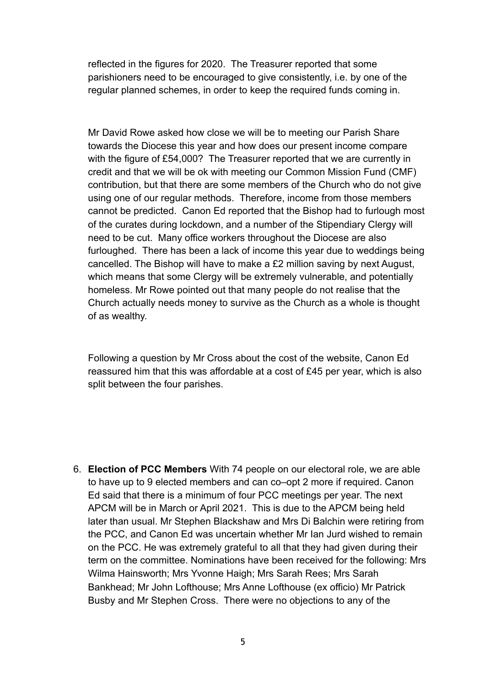reflected in the figures for 2020. The Treasurer reported that some parishioners need to be encouraged to give consistently, i.e. by one of the regular planned schemes, in order to keep the required funds coming in.

Mr David Rowe asked how close we will be to meeting our Parish Share towards the Diocese this year and how does our present income compare with the figure of £54,000? The Treasurer reported that we are currently in credit and that we will be ok with meeting our Common Mission Fund (CMF) contribution, but that there are some members of the Church who do not give using one of our regular methods. Therefore, income from those members cannot be predicted. Canon Ed reported that the Bishop had to furlough most of the curates during lockdown, and a number of the Stipendiary Clergy will need to be cut. Many office workers throughout the Diocese are also furloughed. There has been a lack of income this year due to weddings being cancelled. The Bishop will have to make a £2 million saving by next August, which means that some Clergy will be extremely vulnerable, and potentially homeless. Mr Rowe pointed out that many people do not realise that the Church actually needs money to survive as the Church as a whole is thought of as wealthy.

Following a question by Mr Cross about the cost of the website, Canon Ed reassured him that this was affordable at a cost of £45 per year, which is also split between the four parishes.

6. **Election of PCC Members** With 74 people on our electoral role, we are able to have up to 9 elected members and can co–opt 2 more if required. Canon Ed said that there is a minimum of four PCC meetings per year. The next APCM will be in March or April 2021. This is due to the APCM being held later than usual. Mr Stephen Blackshaw and Mrs Di Balchin were retiring from the PCC, and Canon Ed was uncertain whether Mr Ian Jurd wished to remain on the PCC. He was extremely grateful to all that they had given during their term on the committee. Nominations have been received for the following: Mrs Wilma Hainsworth; Mrs Yvonne Haigh; Mrs Sarah Rees; Mrs Sarah Bankhead; Mr John Lofthouse; Mrs Anne Lofthouse (ex officio) Mr Patrick Busby and Mr Stephen Cross. There were no objections to any of the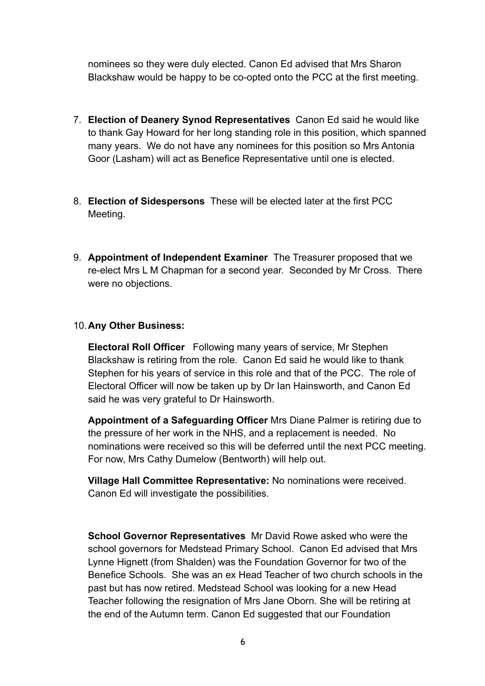nominees so they were duly elected. Canon Ed advised that Mrs Sharon Blackshaw would be happy to be co-opted onto the PCC at the first meeting.

- 7. **Election of Deanery Synod Representatives** Canon Ed said he would like to thank Gay Howard for her long standing role in this position, which spanned many years. We do not have any nominees for this position so Mrs Antonia Goor (Lasham) will act as Benefice Representative until one is elected.
- 8. **Election of Sidespersons** These will be elected later at the first PCC Meeting.
- 9. **Appointment of Independent Examiner** The Treasurer proposed that we re-elect Mrs L M Chapman for a second year. Seconded by Mr Cross. There were no objections.

## 10.**Any Other Business:**

**Electoral Roll Officer** Following many years of service, Mr Stephen Blackshaw is retiring from the role. Canon Ed said he would like to thank Stephen for his years of service in this role and that of the PCC. The role of Electoral Officer will now be taken up by Dr Ian Hainsworth, and Canon Ed said he was very grateful to Dr Hainsworth.

**Appointment of a Safeguarding Officer** Mrs Diane Palmer is retiring due to the pressure of her work in the NHS, and a replacement is needed. No nominations were received so this will be deferred until the next PCC meeting. For now, Mrs Cathy Dumelow (Bentworth) will help out.

**Village Hall Committee Representative:** No nominations were received. Canon Ed will investigate the possibilities.

**School Governor Representatives** Mr David Rowe asked who were the school governors for Medstead Primary School. Canon Ed advised that Mrs Lynne Hignett (from Shalden) was the Foundation Governor for two of the Benefice Schools. She was an ex Head Teacher of two church schools in the past but has now retired. Medstead School was looking for a new Head Teacher following the resignation of Mrs Jane Oborn. She will be retiring at the end of the Autumn term. Canon Ed suggested that our Foundation